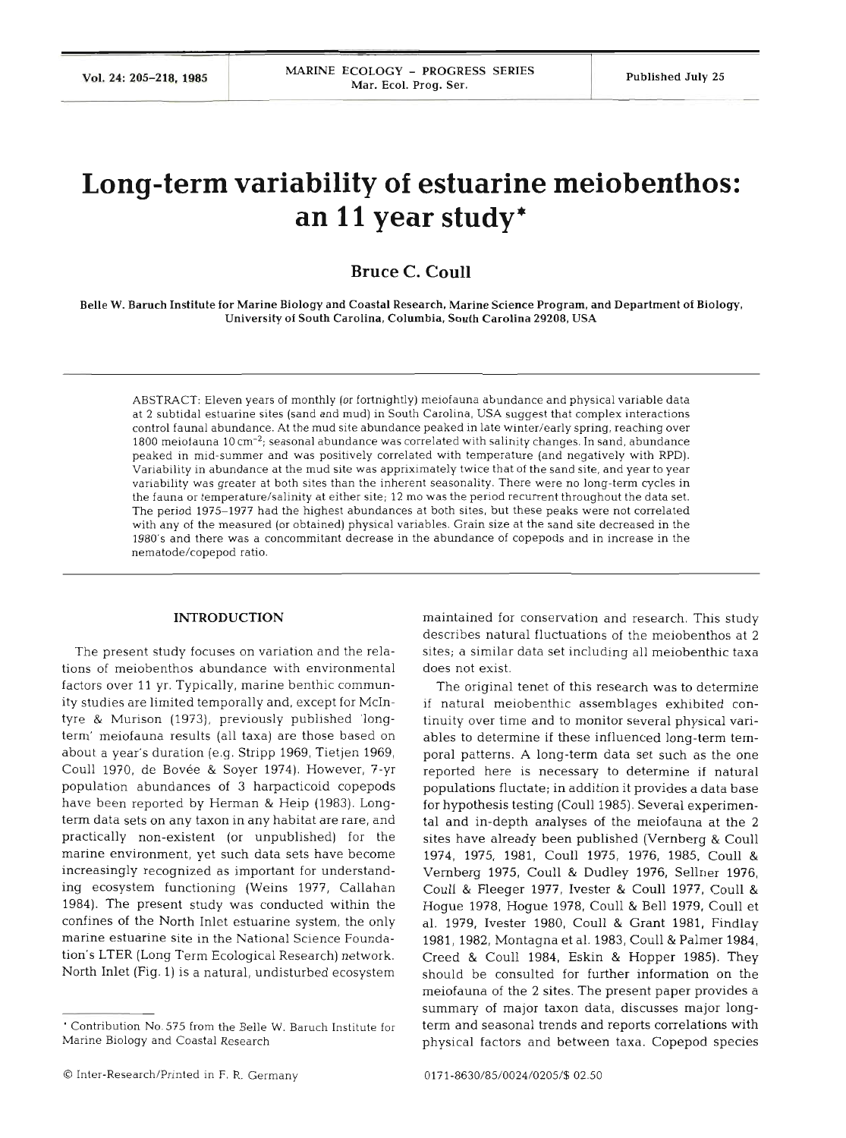# **Long-term variability of estuarine meiobenthos: an 11 year study\***

## **Bruce C. Coull**

Belle W. Baruch Institute for Marine Biology and Coastal Research. Marine Science Program, and Department of Biology, University of South Carolina, Columbia, South Carolina **29208,** USA

ABSTRACT: Eleven years of monthly (or fortnightly) meiofauna abundance and physical variable data at **2** subtidal estuarine sites (sand and mud) in South Carolina, USA suggest that complex interactions control faunal abundance. At the mud site abundance peaked in late winter/early spring, reaching over  $1800$  meiofauna  $10 \, \mathrm{cm}^{-2}$ ; seasonal abundance was correlated with salinity changes. In sand, abundance peaked in mid-summer and was positively correlated with temperature (and negatively with RPD). Variability in abundance at the mud site was appriximately twice that of the sand site, and year to year variability was greater at both sites than the inherent seasonality. There were no long-term cycles in the fauna or temperature/salinity at either site; 12 mo was the period recurrent throughout the data set. The period 1975-1977 had the highest abundances at both sites, but these peaks were not correlated with any of the measured (or obtained) physical variables. Grain size at the sand site decreased in the 1980's and there was a concommitant decrease in the abundance of copepods and in increase in the nematode/copepod ratio.

### **INTRODUCTION**

The present study focuses on variation and the relations of meiobenthos abundance with environmental factors over 11 yr. Typically, marine benthic community studies are limited temporally and, except for McIntyre & Murison (1973), previously published 'longterm' meiofauna results (all taxa) are those based on about a year's duration (e.g. Stripp 1969, Tietjen 1969, Coull 1970, de Bovée & Soyer 1974). However, 7-yr population abundances of 3 harpacticoid copepods have been reported by Herman & Heip (1983). Longterm data sets on any taxon in any habitat are rare, and practically non-existent (or unpublished) for the marine environment, yet such data sets have become increasingly recognized as important for understanding ecosystem functioning (Weins 1977, Callahan 1984). The present study was conducted within the confines of the North Inlet estuarine system, the only marine estuarine site in the National Science Foundation's LTER (Long Term Ecological Research) network. North Inlet (Fig. 1) is a natural, undisturbed ecosystem

maintained for conservation and research. This study describes natural fluctuations of the meiobenthos at 2 sites; a similar data set including all meiobenthic taxa does not exist.

The original tenet of this research was to determine if natural meiobenthic assemblages exhibited continuity over time and to monitor several physical variables to determine if these influenced long-term temporal patterns. **A** long-term data set such as the one reported here is necessary to determine if natural populations fluctate; in addition it provides a data base for hypothesis testing (Coull 1985). Several experimental and in-depth analyses of the meiofauna at the 2 sites have already been published (Vernberg & Coull 1974, 1975, 1981, Coull 1975, 1976, 1985, Coull & Vernberg 1975, Coull & Dudley 1976, Sellner 1976, Coull & Fleeger 1977, Ivester & Coull 1977, Coull & Hogue 1978, Hogue 1978, Coull & Bell 1979, Coull et al. 1979, Ivester 1980, Coull & Grant 1981, Findlay 1981, 1982, Montagna et al. 1983, Coull & Palmer 1984, Creed & Coull 1984, Eskin & Hopper 1985). They should be consulted for further information on the meiofauna of the 2 sites. The present paper provides a summary of major taxon data, discusses major longterm and seasonal trends and reports correlations with physical factors and between taxa. Copepod species

<sup>&#</sup>x27; Contribution No. 575 from the Belle W. Baruch Institute for Marine Biology and Coastal Research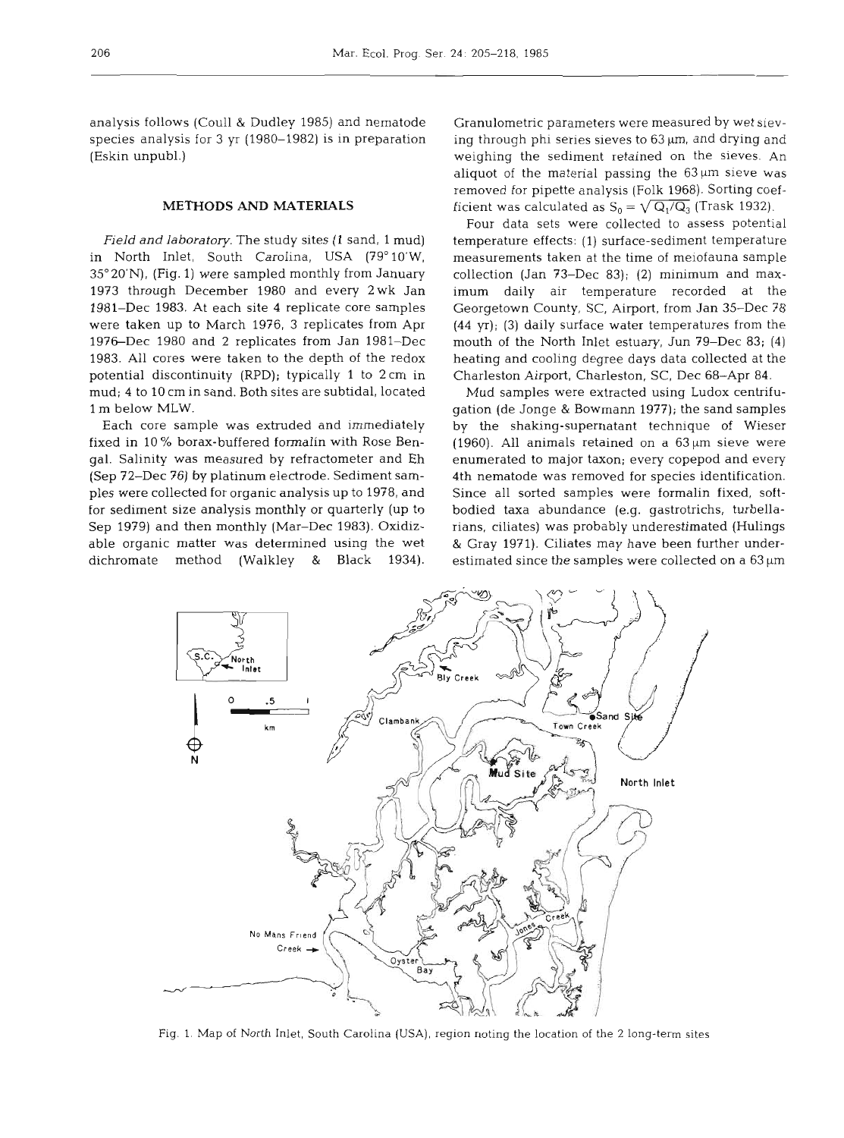analysis follows (Coull & Dudley 1985) and nematode species analysis for 3 yr (1980-1982) is in preparation (Eskin unpubl.)

#### **METHODS AND MATERIALS**

Field and laboratory. The study sites (1 sand, 1 mud) in North Inlet, South Carolina, USA (79°10'W, 35" 20'N), (Fig. 1) were sampled monthly from January 1973 through December 1980 and every 2wk Jan 1981-Dec 1983. At each site 4 replicate core samples were taken up to March 1976, 3 replicates from Apr 1976-Dec 1980 and 2 replicates from Jan 1981-Dec 1983. All cores were taken to the depth of the redox potential discontinuity (RPD); typically 1 to 2cm in mud; 4 to 10 cm in sand. Both sites are subtidal, located l m below MLW.

Each core sample was extruded and immediately fixed in 10 % borax-buffered formalin with Rose Bengal. Salinity was measured by refractometer and Eh (Sep 72-Dec 76) by platinum electrode. Sediment samples were collected for organic analysis up to 1978, and for sediment size analysis monthly or quarterly (up to Sep 1979) and then monthly (Mar-Dec 1983). Oxidizable organic matter was determined using the wet dichromate method (Walkley & Black 1934).

Granulometric parameters were measured by wet sieving through phi series sieves to  $63 \mu m$ , and drying and weighing the sediment retained on the sieves. An aliquot of the material passing the  $63 \mu m$  sieve was removed for pipette analysis (Folk 1968). Sorting coefficient was calculated as  $S_0 = \sqrt{Q_1/Q_3}$  (Trask 1932).

Four data sets were collected to assess potential temperature effects: (1) surface-sediment temperature measurements taken at the time of meiofauna sample collection (Jan 73-Dec 83); (2) minimum and maximum daily air temperature recorded at the Georgetown County, SC, Airport, from Jan 35-Dec 78 (44 yr); (3) daily surface water temperatures from the mouth of the North Inlet estuary, Jun 79-Dec 83; (4) heating and cooling degree days data collected at the Charleston Airport, Charleston, SC, Dec 68-Apr **84.** 

Mud samples were extracted using Ludox centrifugation (de Jonge & Bowmann 1977); the sand samples by the shaking-supernatant technique of Wieser (1960). All animals retained on a  $63 \,\mu m$  sieve were enumerated to major taxon; every copepod and every 4th nematode was removed for species identification. Since all sorted samples were formalin fixed, softbodied taxa abundance (e.g. gastrotrichs, turbellarians, ciliates) was probably underestimated (Hulings & Gray 1971). Ciliates may have been further underestimated since the samples were collected on a  $63 \,\mu m$ 



Fig. 1. Map of North Inlet, South Carolina (USA), region noting the location of the 2 long-term sites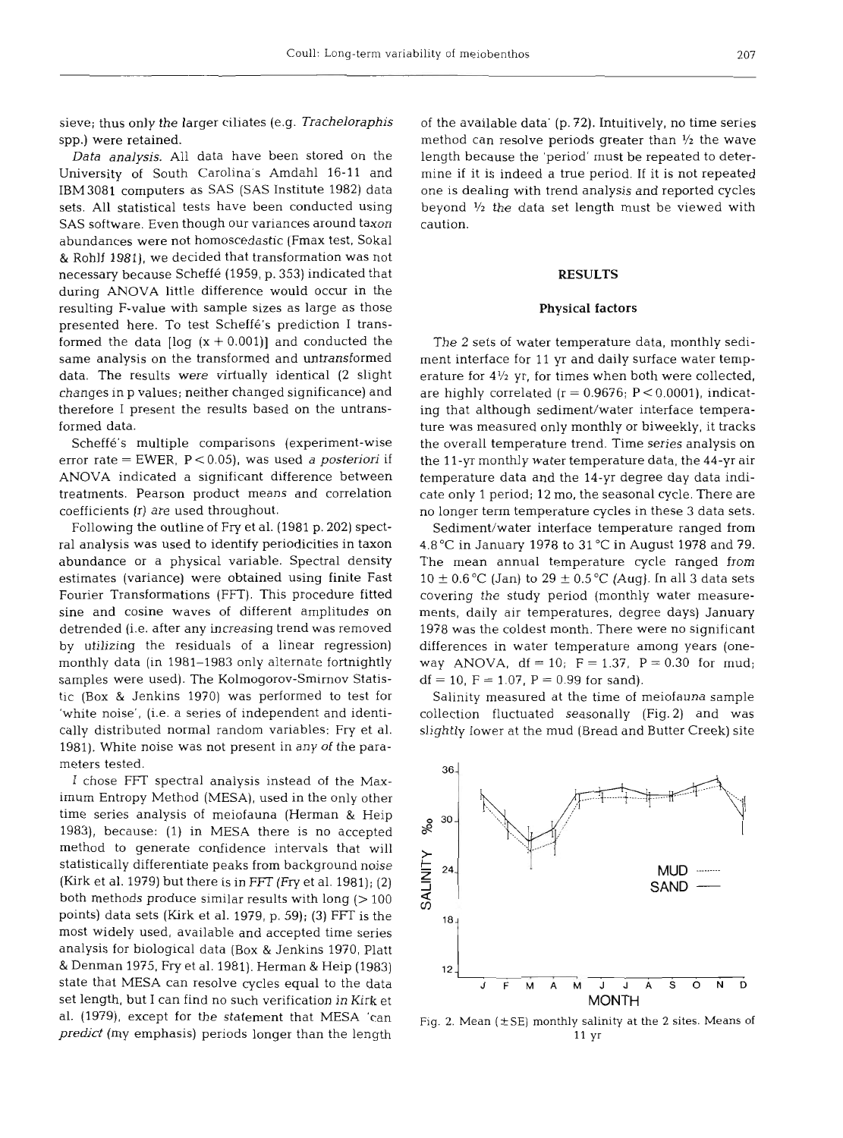sieve; thus only the larger ciliates (e.g. Tracheloraphis spp.) were retained.

Data analysis. All data have been stored on the University of South Carolina's Amdahl 16-11 and IBM3081 computers as SAS (SAS Institute 1982) data sets. All statistical tests have been conducted using SAS software. Even though our variances around taxon abundances were not homoscedastic (Fmax test, Sokal & Rohlf 1981), we decided that transformation was not necessary because Scheffe (1959, p. 353) indicated that during ANOVA little difference would occur in the resulting F-value with sample sizes as large as those presented here. To test Scheffe's prediction I transformed the data  $\log (x + 0.001)$  and conducted the same analysis on the transformed and untransformed data. The results were virtually identical (2 slight changes in p values; neither changed significance) and therefore I present the results based on the untransformed data.

Scheffé's multiple comparisons (experiment-wise error rate = EWER, P < 0.05), was used *a* posteriori if ANOVA indicated a significant difference between treatments. Pearson product means and correlation coefficients (r) are used throughout.

Following the outline of Fry et al. (1981 p. 202) spectral analysis was used to identify periodicities in taxon abundance or a physical variable. Spectral density estimates (variance) were obtained using finite Fast Fourier Transformations (FFT). This procedure fitted sine and cosine waves of different amplitudes on detrended (i.e. after any increasing trend was removed by utilizing the residuals of a linear regression) monthly data (in 1981-1983 only alternate fortnightly samples were used). The Kolmogorov-Smirnov Statistic (Box & Jenkins 1970) was performed to test for 'white noise', (i.e. a series of independent and identically distributed normal random variables: Fry et al. 1981). White noise was not present in any of the parameters tested.

I chose FFT spectral analysis instead of the Maximum Entropy Method (MESA), used in the only other time series analysis of meiofauna (Herman & Heip 1983), because: (1) in MESA there is no accepted method to generate confidence intervals that will statistically differentiate peaks from background noise (Kirk et al. 1979) but there is in FFT (Fry et al. 1981); (2) both methods produce similar results with long  $(>100$ points) data sets (Kirk et al. 1979, p. 59); (3) FFT is the most widely used, available and accepted time series analysis for biological data (Box & Jenkins 1970, Platt & Denman 1975, Fry et al. 1981). Herman & Heip (1983) state that MESA can resolve cycles equal to the data set length, but I can find no such verification in Kirk et al. (1979), except for the statement that MESA 'can predict (my emphasis) periods longer than the length

of the available data' (p. 72). Intuitively, no time series method can resolve periods greater than  $\frac{1}{2}$  the wave length because the 'period' must be repeated to determine if it is indeed a true period. If it is not repeated one is dealing with trend analysis and reported cycles beyond **'12** the data set length must be viewed with caution.

#### **RESULTS**

#### Physical factors

The 2 sets of water temperature data, monthly sediment interface for 11 yr and daily surface water temperature for  $4\frac{1}{2}$  yr, for times when both were collected, are highly correlated  $(r = 0.9676; P < 0.0001)$ , indicating that although sediment/water interface temperature was measured only monthly or biweekly, it tracks the overall temperature trend. Time series analysis on the 11-yr monthly water temperature data, the 44-yr air temperature data and the 14-yr degree day data indicate only 1 period; 12 mo, the seasonal cycle. There are no longer term temperature cycles in these 3 data sets.

Sediment/water interface temperature ranged from 4.8"C in January 1978 to 31 *"C* in August 1978 and 79. The mean annual temperature cycle ranged from  $10 \pm 0.6$  °C (Jan) to  $29 \pm 0.5$  °C (Aug). In all 3 data sets covering the study period (monthly water measurements, daily air temperatures, degree days) January 1978 was the coldest month. There were no significant differences in water temperature among years (oneway ANOVA,  $df = 10$ ;  $F = 1.37$ ,  $P = 0.30$  for mud;  $df = 10$ ,  $F = 1.07$ ,  $P = 0.99$  for sand).

Salinity measured at the time of meiofauna sample collection fluctuated seasonally (Fig. 2) and was slightly lower at the mud (Bread and Butter Creek) site



Fig. 2. Mean  $(\pm SE)$  monthly salinity at the 2 sites. Means of 11 yr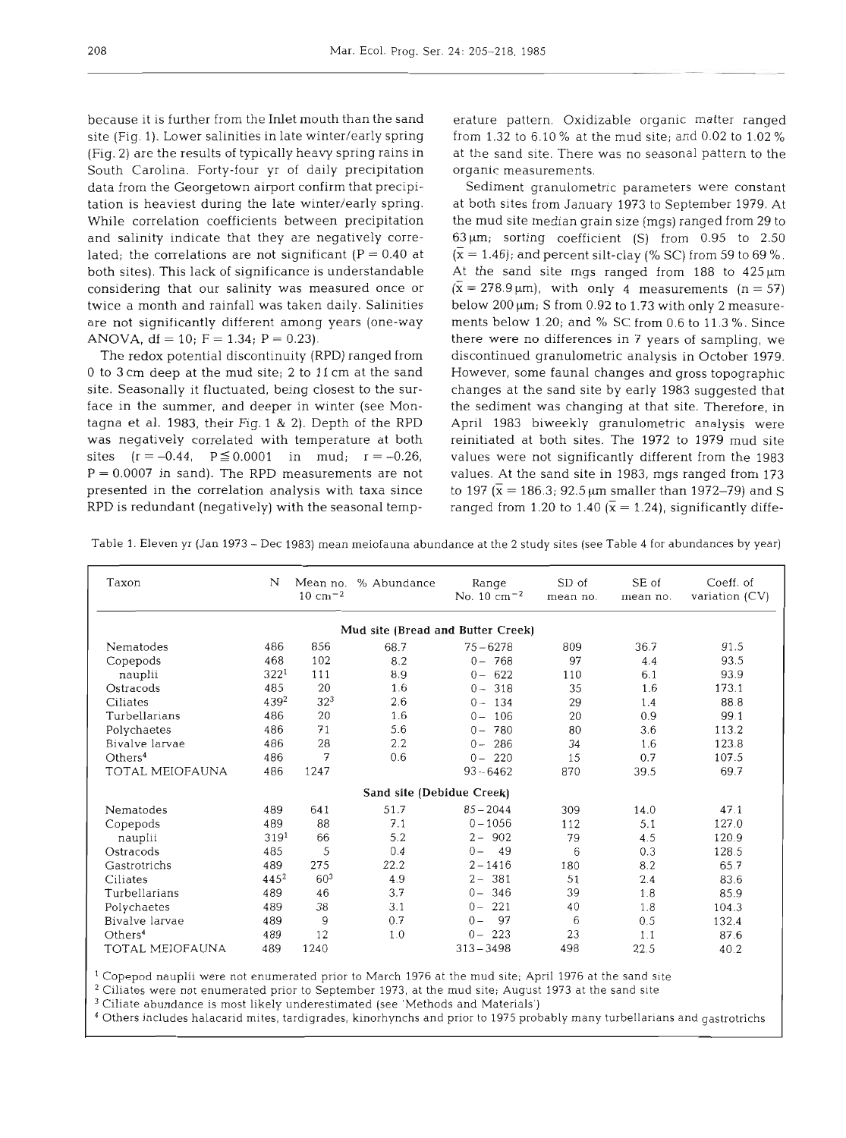because it is further from the Inlet mouth than the sand site (Fig. 1). Lower salinities in late winter/early spring (Fig. 2) are the results of typically heavy spring rains in South Carolina. Forty-four yr of daily precipitation data from the Georgetown airport confirm that precipitation is heaviest during the late winter/early spring. While correlation coefficients between precipitation and salinity indicate that they are negatively correlated; the correlations are not significant ( $P = 0.40$  at both sites). This lack of significance is understandable considering that our salinity was measured once or twice a month and rainfall was taken daily. Salinities are not significantly different among years (one-way ANOVA,  $df = 10$ ;  $F = 1.34$ ;  $P = 0.23$ ).

The redox potential discontinuity (RPD) ranged from 0 to 3 cm deep at the mud site; 2 to 11 cm at the sand site. Seasonally it fluctuated, being closest to the surface in the summer, and deeper in winter (see Montagna et al. 1983, their Fig. 1 & 2). Depth of the RPD was negatively correlated with temperature at both sites  $(r = -0.44, P \le 0.0001$  in mud;  $r = -0.26$ ,  $P = 0.0007$  in sand). The RPD measurements are not presented in the correlation analysis with taxa since RPD is redundant (negatively) with the seasonal temperature pattern. Oxidizable organic matter ranged from 1.32 to 6.10 % at the mud site; and 0.02 to 1.02 %

at the sand site. There was no seasonal pattern to the<br>organic measurements.<br>Sediment granulometric parameters were constant<br>at both sites from January 1973 to September 1979. At<br>the mud site median grain size (mgs) range At the sand site mgs ranged from 188 to 425  $\mu$ m<br>
( $\bar{x} = 278.9 \,\mu$ m), with only 4 measurements (n = 57)<br>
below 200  $\mu$ m; S from 0.92 to 1.73 with only 2 measure-<br>
ments below 1.20; and % SC from 0.6 to 11.3 %. Since<br>
t

Table 1. Eleven yr (Jan 1973 - Dec 1983) mean meiofauna abundance at the 2 study sites (see Table 4 for abundances by year)

| Taxon               | N                | Mean no.<br>$10 \text{ cm}^{-2}$ | % Abundance                       | Range<br>No. $10 \text{ cm}^{-2}$ | SD of<br>mean no. | SE of<br>mean no. | Coeff. of<br>variation $(CV)$ |
|---------------------|------------------|----------------------------------|-----------------------------------|-----------------------------------|-------------------|-------------------|-------------------------------|
|                     |                  |                                  | Mud site (Bread and Butter Creek) |                                   |                   |                   |                               |
| Nematodes           | 486              | 856                              | 68.7                              | $75 - 6278$                       | 809               | 36.7              | 91.5                          |
| Copepods            | 468              | 102                              | 8.2                               | $0 - 768$                         | 97                | 4.4               | 93.5                          |
| nauplii             | 322 <sup>1</sup> | 111                              | 8.9                               | 622<br>$0 -$                      | 110               | 6.1               | 93.9                          |
| Ostracods           | 485              | 20                               | 1.6                               | 318<br>$0 -$                      | 35                | 1.6               | 173.1                         |
| Ciliates            | 4392             | 32 <sup>3</sup>                  | 2.6                               | $0 - 134$                         | 29                | 1.4               | 88.8                          |
| Turbellarians       | 486              | 20                               | 1.6                               | 106<br>$0 -$                      | 20                | 0.9               | 99.1                          |
| Polychaetes         | 486              | 71                               | 5.6                               | 780<br>$0 -$                      | 80                | 3.6               | 113.2                         |
| Bivalve larvae      | 486              | 28                               | 2.2                               | 286<br>$0 -$                      | 34                | 1.6               | 123.8                         |
| Others <sup>4</sup> | 486              | 7                                | 0.6                               | 220<br>$0 -$                      | 15                | 0.7               | 107.5                         |
| TOTAL MEIOFAUNA     | 486              | 1247                             |                                   | $93 - 6462$                       | 870               | 39.5              | 69.7                          |
|                     |                  |                                  | Sand site (Debidue Creek)         |                                   |                   |                   |                               |
| Nematodes           | 489              | 641                              | 51.7                              | $85 - 2044$                       | 309               | 14.0              | 47.1                          |
| Copepods            | 489              | 88                               | 7.1                               | $0 - 1056$                        | 112               | 5.1               | 127.0                         |
| nauplii             | 319 <sup>1</sup> | 66                               | 5.2                               | $2 - 902$                         | 79                | 4.5               | 120.9                         |
| Ostracods           | 485              | 5                                | 0.4                               | $0 -$<br>49                       | 6                 | 0.3               | 128.5                         |
| Gastrotrichs        | 489              | 275                              | 22.2                              | $2 - 1416$                        | 180               | 8.2               | 65.7                          |
| Ciliates            | $445^{2}$        | 60 <sup>3</sup>                  | 4.9                               | $2 - 381$                         | 51                | 2.4               | 83.6                          |
| Turbellarians       | 489              | 46                               | 3.7                               | 346<br>$0 -$                      | 39                | 1.8               | 85.9                          |
| Polychaetes         | 489              | 38                               | 3.1                               | 221<br>$0 -$                      | 40                | 1.8               | 104.3                         |
| Bivalve larvae      | 489              | 9                                | 0.7                               | 97<br>$0 -$                       | 6                 | 0.5               | 132.4                         |
| Others <sup>4</sup> | 489              | 12                               | 1.0                               | 223<br>$0 -$                      | 23                | 1.1               | 87.6                          |
| TOTAL MEIOFAUNA     | 489              | 1240                             |                                   | $313 - 3498$                      | 498               | 22.5              | 40.2                          |

Copepod nauplii were not enumerated prior to March 1976 at the mud site; April 1976 at the sand site

 $2$  Ciliates were not enumerated prior to September 1973, at the mud site; August 1973 at the sand site

Ciliate abundance is most likely underestimated (see 'Methods and Materials')

Others includes halacarid mites, tardigrades, kinorhynchs and prior to 1975 probably many turbellarians and gastrotrichs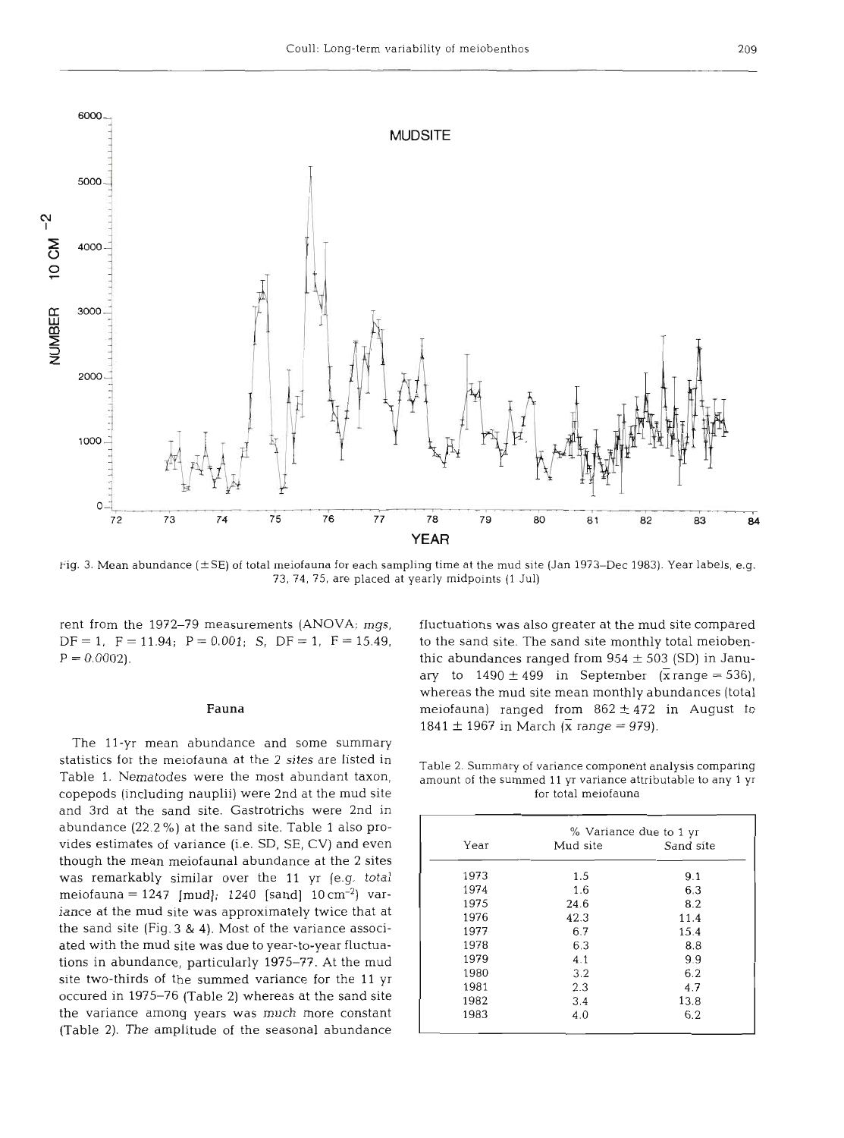

Pig. **3.** Mean abundance **(f** SE) of total meiofauna for each sampling time at the mud site (Jan **1973-Dec 1983).** Year labels, e.g. 73, **74, 75,** are placed at yearly midpoints (1 Jul)

rent from the 1972-79 measurements (ANOVA; mgs, fluctuations was also greater at the mud site compared  $DF = 1$ ,  $F = 11.94$ ;  $P = 0.001$ ; S,  $DF = 1$ ,  $F = 15.49$ , to the sand site. The sand site monthly total meioben-

The 11-yr mean abundance and some summary statistics for the meiofauna at the 2 sites are listed in<br>Table 1. Nematodes were the most abundant taxon, amount of the summed 11 yr variance attributable to any 1 yr copepods (including nauplii) were 2nd at the mud site for total meiofauna and 3rd at the sand site. Gastrotrichs were 2nd abundance (22.2 %) at the sand site. Table 1 also provides estimates of variance (i.e. SD, SE, CV) and even though the mean meiofaunal abundance at the **2** sites was remarkably similar over the 11 yr (e.g. total meiofauna = 1247 [mud]; 1240 [sand]  $10 \text{ cm}^{-2}$ ] variance at the mud site was approximately twice that at the sand site (Fig. **3** & 4). Most of the variance associated with the mud site was due to year-to-year fluctuations in abundance, particularly 1975-77. At the mud site two-thirds of the summed variance for the 11 yr occured in 1975-76 (Table 2) whereas at the sand site the variance among years was much more constant (Table 2). The amplitude of the seasonal abundance

 $P = 0.0002$ . thic abundances ranged from 954  $\pm$  503 (SD) in January to  $1490 \pm 499$  in September ( $\bar{x}$  range = 536), whereas the mud site mean monthly abundances (total **Fauna Example 3 Fauna meiofauna** *ranged from 862 ± 472 in August to* 1841  $\pm$  1967 in March ( $\bar{x}$  range = 979).

| Year | Mud site | Sand site |
|------|----------|-----------|
|      |          |           |
| 1973 | 1.5      | 9.1       |
| 1974 | 1.6      | 6.3       |
| 1975 | 24.6     | 8.2       |
| 1976 | 42.3     | 11.4      |
| 1977 | 6.7      | 15.4      |
| 1978 | 6.3      | 8.8       |
| 1979 | 4.1      | 9.9       |
| 1980 | 3.2      | 6.2       |
| 1981 | 2.3      | 4.7       |
| 1982 | 3.4      | 13.8      |
| 1983 | 4.0      | 6.2       |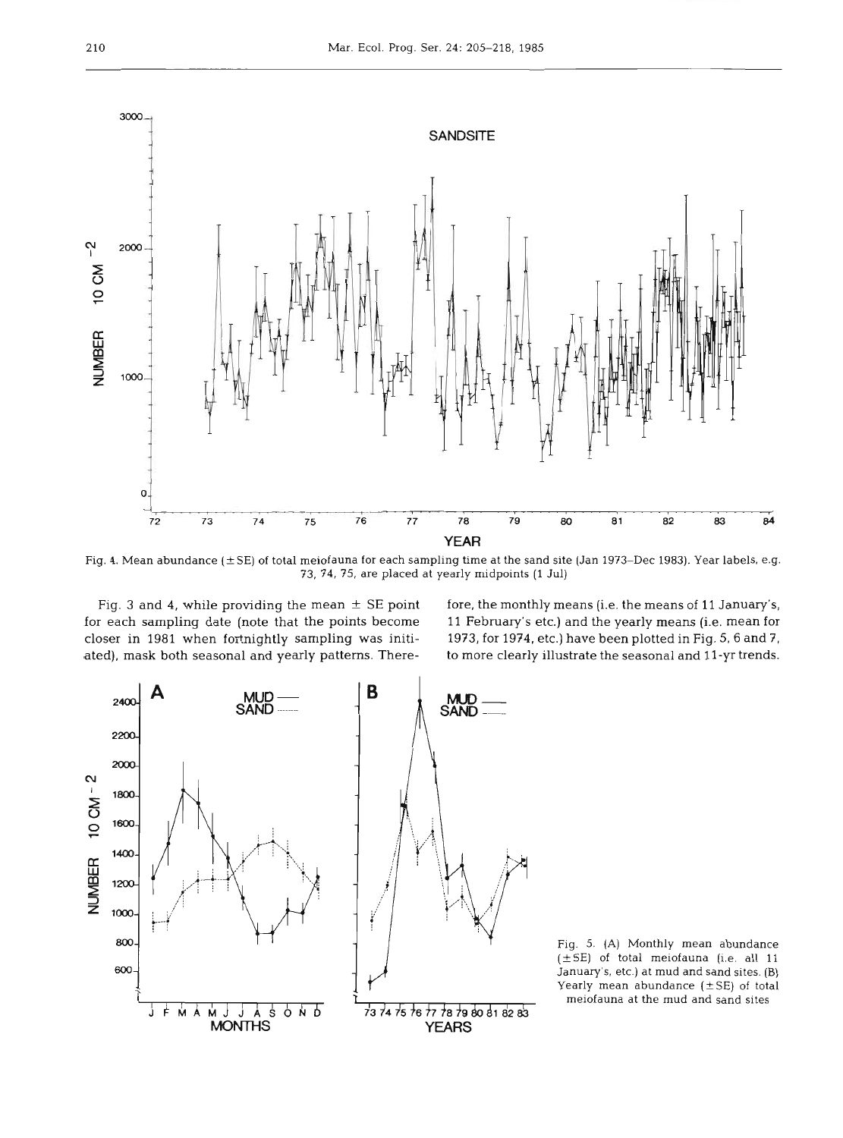

Fig. 4. Mean abundance  $(\pm SE)$  of total meiofauna for each sampling time at the sand site (Jan 1973–Dec 1983). Year labels, e.g. 73, 74, 75, are placed at yearly midpoints  $(1 \text{ Jul})$ 

Fig. 3 and 4, with<br>
preach sampling<br>
loser in 1981 wited<br>
ted), mask both s g<br>ea<br>l) g. <mark>3</mark><br>ach ni<br>|<br>|e<br>|e ated), mask both seasonal and yearly patterns. Therecloser in 1981 when fortnightly sampling was initi-

ly midpoints (1 Jul)<br>re, the monthly means (i.e. the means of 11 January's,<br>February's etc.) and the yearly means (i.e. mean for<br>73, for 1974, etc.) have been plotted in Fig. 5, 6 and 7,<br>more clearly illustrate the seasona p means (i.e. the means of 11 Januar<br>c.) and the yearly means (i.e. mean<br>tc.) have been plotted in Fig. 5, 6 an<br>llustrate the seasonal and 11-vr trer s d<br>ת<br>חי to more clearly illustrate the seasonal and 11-yr trends. 5,<br>pr<br><sup>7</sup>,<br>s



Fig. 5. (A) Monthly mean abundance  $(\pm S E)$  of total meiofauna (i.e. all 11 January's, etc.) at mud and sand sites. (B) Yearly mean abundance  $(\pm SE)$  of total meiofauna at the mud and sand sites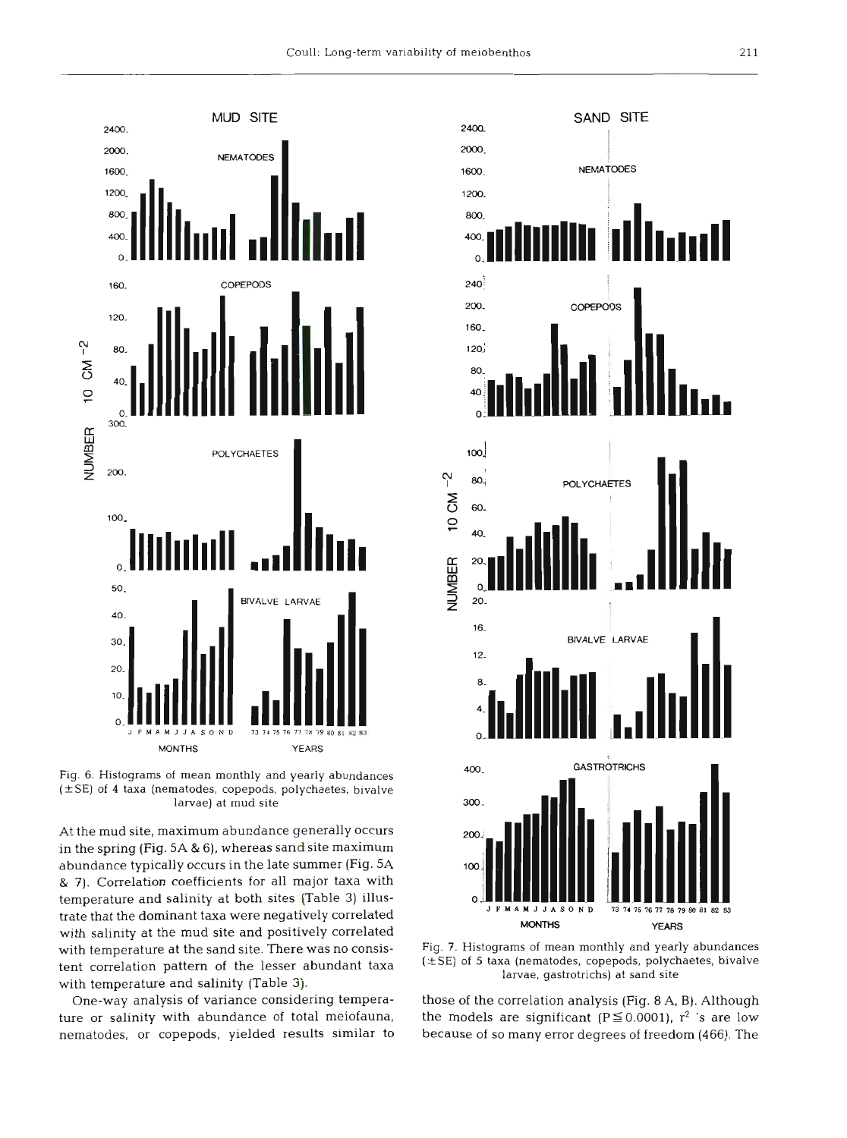

Fig. 6. Histograms of mean monthly and yearly abundances  $(\pm SE)$  of 4 taxa (nematodes, copepods, polychaetes, bivalve larvae) at mud site

At the mud site, maximum abundance generally occurs in the spring (Fig. 5A & 6), whereas sand site maximum abundance typically occurs in the late summer (Fig. **5A**  & 7). Correlation coefficients for all major taxa with temperature and salinity at both sites (Table **3)** illustrate that the dominant taxa were negatively correlated with salinity at the mud site and positively correlated with temperature at the sand site. There was no consistent correlation pattern of the lesser abundant taxa with temperature and salinity (Table **3).** 

One-way analysis of variance considering temperature or salinity with abundance of total meiofauna, nematodes, or copepods, yielded results similar to



Fig. **7.** Histograms of mean monthly and yearly abundances  $(\pm S$ E) of 5 taxa (nematodes, copepods, polychaetes, bivalve larvae, gastrotrichs) at sand site

those of the correlation analysis (Fig. 8 A, B). Although the models are significant ( $P \le 0.0001$ ), r<sup>2</sup> 's are low because of so many error degrees of freedom (466). The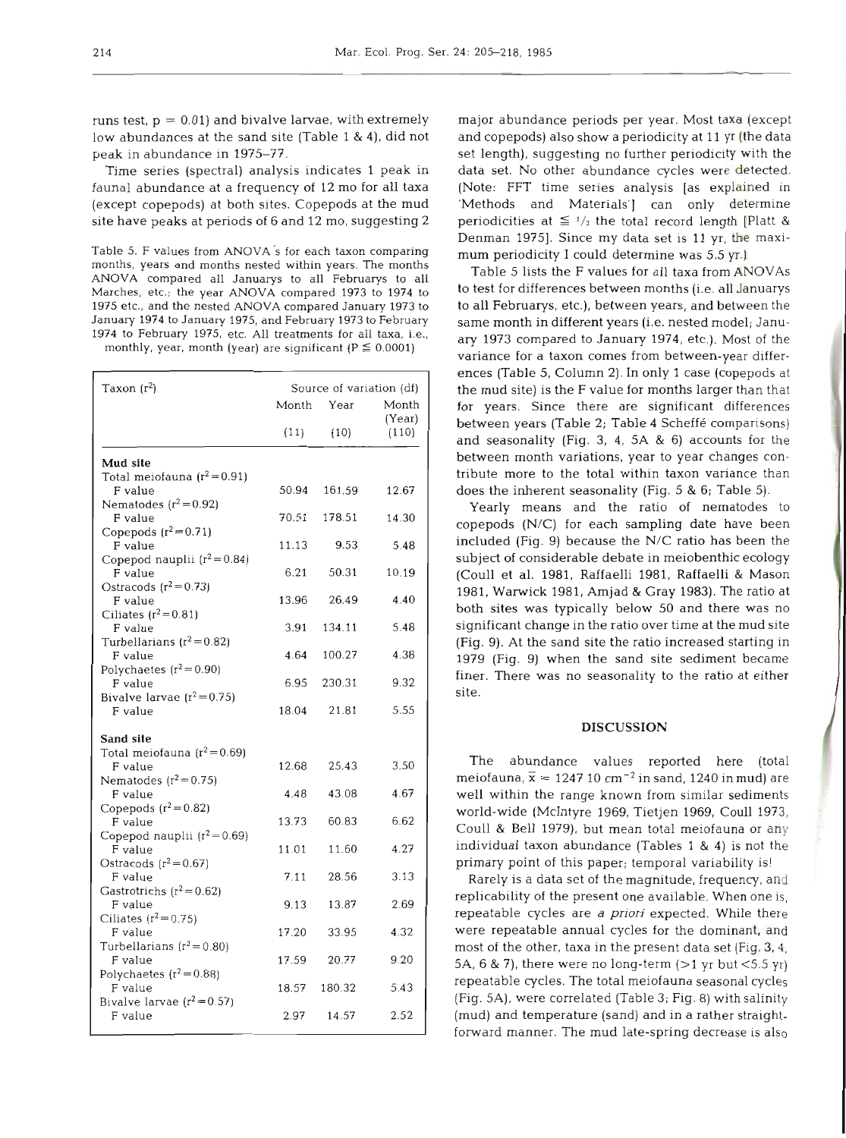runs test,  $p = 0.01$ ) and bivalve larvae, with extremely low abundances at the sand site (Table 1 & 4), did not peak in abundance in 1975-77.

Time series (spectral) analysis indicates 1 peak in fauna1 abundance at a frequency of 12 mo for all taxa (except copepods) at both sites. Copepods at the mud site have peaks at periods of 6 and 12 mo, suggesting 2

Table 5. F values from ANOVA's for each taxon comparing months, years and months nested within years. The months ANOVA compared all Januarys to all Februarys to all Marches, etc.; the year ANOVA compared **1973** to **1974** to **1975** etc., and the nested ANOVA compared January **1973** to January **1974** to January **1975,** and February **1973** to February **1974** to February **1975,** etc. All treatments for all taxa, i.e.,

monthly, year, month (year) are significant ( $P \le 0.0001$ )

| Taxon $(r^2)$                             | Source of variation (df) |            |                 |  |  |
|-------------------------------------------|--------------------------|------------|-----------------|--|--|
|                                           |                          | Month Year | Month<br>(Year) |  |  |
|                                           | (11)                     | (10)       | (110)           |  |  |
| Mud site                                  |                          |            |                 |  |  |
| Total meiofauna $(r^2=0.91)$<br>F value   | 50.94                    | 161.59     | 12.67           |  |  |
| Nematodes $(r^2=0.92)$<br>F value         | 70.51                    | 178.51     | 14.30           |  |  |
| Copepods $(r^2=0.71)$<br>F value          | 11.13                    | 9.53       | 5.48            |  |  |
| Copepod nauplii $(r^2=0.84)$<br>F value   | 6.21                     | 50.31      | 10.19           |  |  |
| Ostracods $(r^2=0.73)$<br>F value         | 13.96                    | 26.49      | 4.40            |  |  |
| Ciliates $(r^2=0.81)$<br>F value          | 3.91                     | 134.11     | 5.48            |  |  |
| Turbellarians $(r^2=0.82)$<br>F value     | 4.64                     | 100.27     | 4.38            |  |  |
| Polychaetes $(r^2=0.90)$<br>F value       | 6.95                     | 230.31     | 9.32            |  |  |
| Bivalve larvae $(r^2=0.75)$               |                          |            | 5.55            |  |  |
| F value                                   | 18.04                    | 21.81      |                 |  |  |
| Sand site<br>Total meiofauna $(r^2=0.69)$ |                          |            |                 |  |  |
| F value<br>Nematodes $(r^2=0.75)$         | 12.68                    | 25.43      | 3.50            |  |  |
| F value<br>Copepods $(r^2=0.82)$          | 4.48                     | 43.08      | 4.67            |  |  |
| F value<br>Copepod nauplii $(r^2=0.69)$   | 13.73                    | 60.83      | 6.62            |  |  |
| F value<br>Ostracods $(r^2=0.67)$         | 11.01                    | 11.60      | 4.27            |  |  |
| F value<br>Gastrotrichs ( $r^2$ = 0.62)   | 7.11                     | 28.56      | 3.13            |  |  |
| F value                                   | 9.13                     | 13.87      | 2.69            |  |  |
| Ciliates $(r^2=0.75)$<br>F value          | 17.20                    | 33.95      | 4.32            |  |  |
| Turbellarians $(r^2=0.80)$<br>F value     | 17.59                    | 20.77      | 9.20            |  |  |
| Polychaetes $(r^2=0.88)$<br>F value       | 18.57                    | 180.32     | 5.43            |  |  |
| Bivalve larvae $(r^2=0.57)$<br>F value    | 2.97                     | 14.57      | 2.52            |  |  |

major abundance periods per year. Most taxa (except and copepods) also show a periodicity at 11 yr (the data set length), suggesting no further periodicity with the data set. No other abundance cycles were detected. (Note: FFT time series analysis [as explained in 'Methods and Materials'] can only determine periodicities at  $\leq \frac{1}{2}$  the total record length [Platt & Denman 1975]. Since my data set is 11 yr, the maximum periodicity I could determine was 5.5 yr.)

Table 5 lists the F values for all taxa from ANOVAs to test for differences between months (i.e. all Januarys to all Februarys, etc.), between years, and between the same month in different years (i.e. nested model; January 1973 compared to January 1974, etc.). Most of the variance for a taxon comes from between-year differences (Table 5, Column 2). In only 1 case (copepods at the mud site) is the F value for months larger than that for years. Since there are significant differences between years (Table 2; Table 4 Scheffe comparisons) and seasonality (Fig. 3, 4, 5A & 6) accounts for the between month variations, year to year changes contribute more to the total within taxon variance than does the inherent seasonality (Fig. 5 & 6; Table 5).

Yearly means and the ratio of nematodes to copepods (N/C) for each sampling date have been included (Fig. 9) because the N/C ratio has been the subject of considerable debate in meiobenthic ecology (Coull et al. 1981, Raffaelli 1981, Raffaelli & Mason 1981, Warwick 1981, Amjad & Gray 1983). The ratio at both sites was typically below 50 and there was no significant change in the ratio over time at the mud site (Fig. 9). At the sand site the ratio increased starting in 1979 (Fig. 9) when the sand site sediment became finer. There was no seasonality to the ratio at either site.

### **DISCUSSION**

The abundance values reported here (total meiofauna,  $\bar{x} = 124710 \text{ cm}^{-2}$  in sand, 1240 in mud) are well within the range known from similar sediments world-wide (McIntyre 1969, Tietjen 1969, Coull 1973, Coull & Bell 1979), but mean total meiofauna or any individual taxon abundance (Tables 1 & 4) is not the primary point of this paper; temporal variability is!

Rarely is a data set of the magnitude, frequency, and replicability of the present one available. When one is, repeatable cycles are a *priori* expected. While there were repeatable annual cycles for the dominant, and most of the other, taxa in the present data set (Fig. **3,4,**  5A,  $6 \& 7$ ), there were no long-term ( $>1$  yr but <5.5 yr) repeatable cycles. The total meiofauna seasonal cycles (Fig. 5A), were correlated (Table 3; Fig. 8) with salinity (mud) and temperature (sand) and in a rather straightforward manner. The mud late-spring decrease is also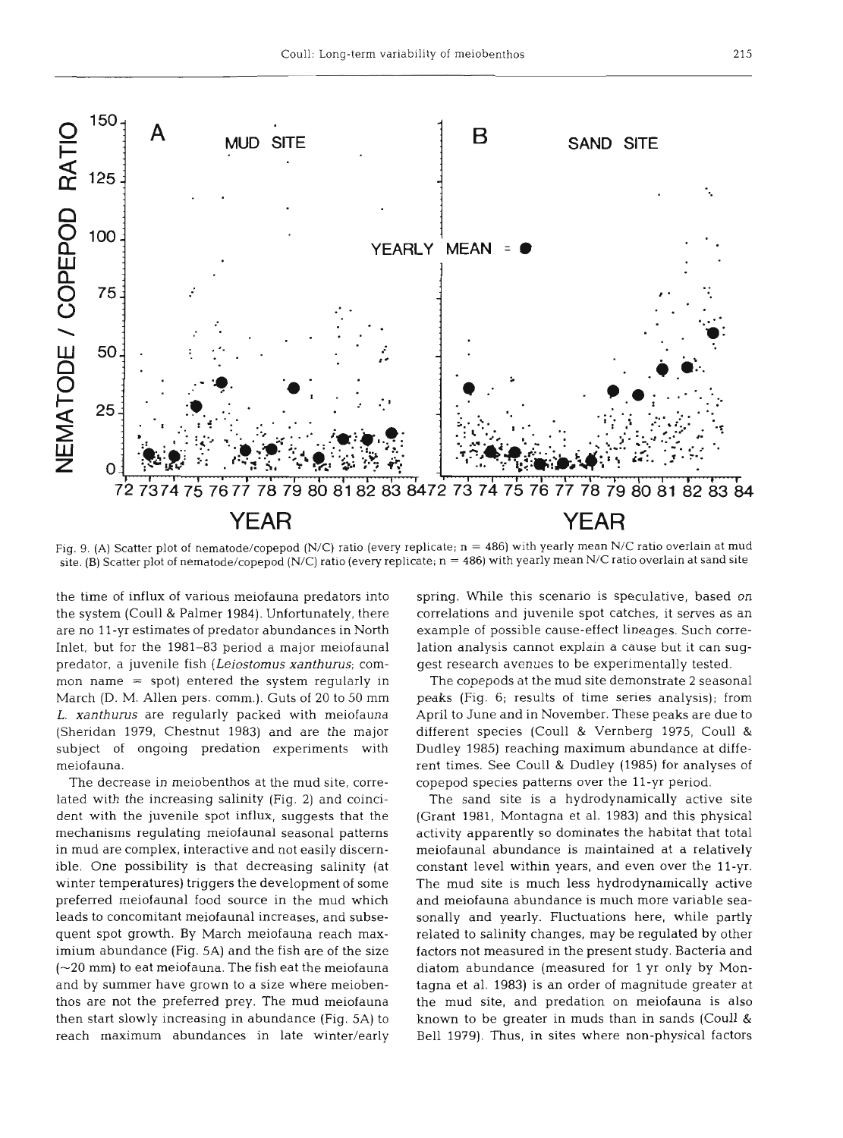

Fig. 9. **(A)** Scatter plot of nematode/copepod (N/C) ratio (every replicate; n = 486) with yearly mean N/C ratio overlain at mud site. (B) Scatter plot of nematode/copepod (N/C) ratio (every replicate; n = 486) with yearly mean N/C ratio overlain at sand site

the time of influx of various meiofauna predators into the system (Coull & Palmer 1984). Unfortunately, there are no l l-yr estimates of predator abundances in North Inlet, but for the 1981-83 period a major meiofaunal predator, a juvenile fish *(Leiostomus xanthurus;* common name = spot) entered the system regularly in March (D. M. Allen pers. comm.). Guts of 20 to 50 mm *L.* **xanthurus** are regularly packed with meiofauna (Sheridan 1979, Chestnut 1983) and are the major subject of ongoing predation experiments with meiofauna.

The decrease in meiobenthos at the mud site, correlated with the increasing salinity (Fig. 2) and coincident with the juvenile spot influx, suggests that the mechanisms regulating meiofaunal seasonal patterns in mud are complex, interactive and not easily discernible. One possibility is that decreasing salinity (at winter temperatures) triggers the development of some preferred meiofaunal food source in the mud which leads to concomitant meiofaunal increases, and subsequent spot growth. By March meiofauna reach maximium abundance (Fig. 5A) and the fish are of the size  $(-20 \text{ mm})$  to eat meiofauna. The fish eat the meiofauna and by summer have grown to a size where meiobenthos are not the preferred prey. The mud meiofauna then start slowly increasing in abundance (Fig. 5A) to reach maximum abundances in late winter/early spring. While this scenario is speculative, based on correlations and juvenile spot catches, it serves as an example of possible cause-effect lineages. Such correlation analysis cannot explain a cause but it can suggest research avenues to be experimentally tested.

The copepods at the mud site demonstrate **2** seasonal peaks (Fig. 6; results of time series analysis); from April to June and in November. These peaks are due to different species (Coull & Vernberg 1975, Coull & Dudley 1985) reaching maximum abundance at different times. See Coull & Dudley (1985) for analyses of copepod species patterns over the 11-yr period.

The sand site is a hydrodynamically active site (Grant 1981, Montagna et al. 1983) and this physical activity apparently so dominates the habitat that total meiofaunal abundance is maintained at a relatively constant level within years, and even over the 11-yr. The mud site is much less hydrodynamically active and meiofauna abundance is much more variable seasonally and yearly. Fluctuations here, while partly related to salinity changes, may be regulated by other factors not measured in the present study. Bacteria and diatom abundance (measured for l yr only by Montagna et al. 1983) is an order of magnitude greater at the mud site, and predation on meiofauna is also known to be greater in muds than in sands (Coull & Bell 1979). Thus, in sites where non-physical factors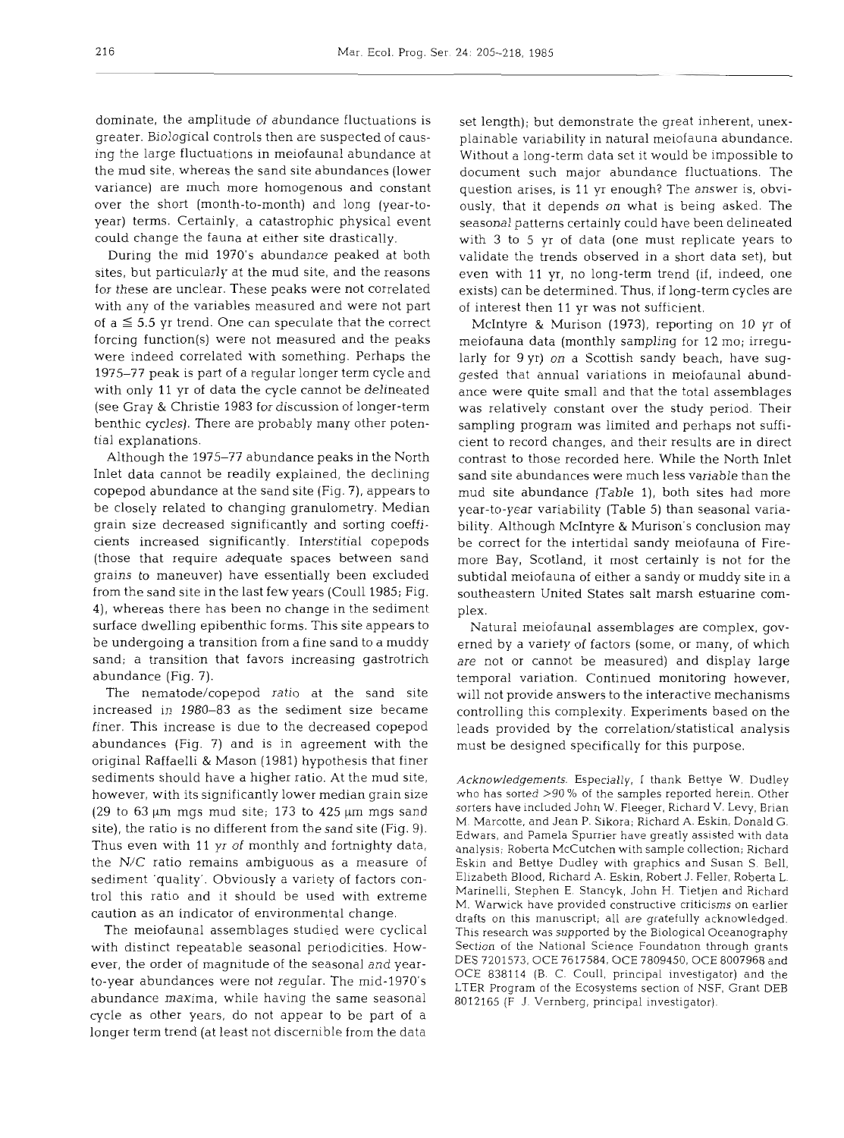dominate, the amplitude of abundance fluctuations is greater. Biological controls then are suspected of causing the large fluctuations in meiofaunal abundance at the mud site, whereas the sand site abundances (lower variance) are much more homogenous and constant over the short (month-to-month) and long (year-toyear) terms. Certainly, a catastrophic physical event could change the fauna at either site drastically.

During the mid 1970's abundance peaked at both sites, but particularly at the mud site, and the reasons for these are unclear. These peaks were not correlated with any of the variables measured and were not part of  $a \leq 5.5$  yr trend. One can speculate that the correct forcing function(s) were not measured and the peaks were indeed correlated with something. Perhaps the 1975-77 peak is part of a regular longer term cycle and with only 11 yr of data the cycle cannot be delineated (see Gray & Christie 1983 for discussion of longer-term benthic cycles). There are probably many other potential explanations.

Although the 1975-77 abundance peaks in the North Inlet data cannot be readily explained, the declining copepod abundance at the sand site (Fig. 7), appears to be closely related to changing granulometry. Median grain size decreased significantly and sorting coefficients increased significantly. Interstitial copepods (those that require adequate spaces between sand grains to maneuver) have essentially been excluded from the sand site in the last few years (Coull 1985; Fig. 4), whereas there has been no change in the sediment surface dwelling epibenthic forms. This site appears to be undergoing a transition from a fine sand to a muddy sand; a transition that favors increasing gastrotrich abundance (Fig. 7).

The nematode/copepod ratio at the sand site increased in 1980-83 as the sediment size became finer. This increase is due to the decreased copepod abundances (Fig. 7) and is in agreement with the original Raffaelli & Mason (1981) hypothesis that finer sediments should have a higher ratio. At the mud site, however, with its significantly lower median grain size (29 to 63  $\mu$ m mgs mud site; 173 to 425  $\mu$ m mgs sand site), the ratio is no different from the sand site (Fig. 9). Thus even with 11 yr of monthly and fortnighty data, the N/C ratio remains ambiguous as a measure of sediment 'quality'. Obviously a variety of factors control this ratio and it should be used with extreme caution as an indicator of environmental change.

The meiofaunal assemblages studied were cyclical with distinct repeatable seasonal periodicities. However, the order of magnitude of the seasonal and yearto-year abundances were not regular. The mid-1970's abundance maxima, while having the same seasonal cycle as other years, do not appear to be part of a longer term trend (at least not discernible from the data

set length); but demonstrate the great inherent, unexplainable variability in natural meiofauna abundance. Without a long-term data set it would be impossible to document such major abundance fluctuations. The question arises, is 11 yr enough? The answer is, obviously, that it depends on what is being asked. The seasonal patterns certainly could have been delineated with 3 to 5 yr of data (one must replicate years to validate the trends observed in a short data set), but even with 11 yr, no long-term trend (if, indeed, one exists) can be determined. Thus, if long-term cycles are of interest then 11 yr was not sufficient.

McIntyre & Murison (1973), reporting on 10 yr of meiofauna data (monthly sampling for 12 mo; irregularly for 9 yr) on a Scottish sandy beach, have suggested that annual variations in meiofaunal abundance were quite small and that the total assemblages was relatively constant over the study period. Their sampling program was limited and perhaps not sufficient to record changes, and their results are in direct contrast to those recorded here. While the North Inlet sand site abundances were much less variable than the mud site abundance (Table l), both sites had more year-to-year variability (Table 5) than seasonal variability. Although McIntyre & Murison's conclusion may be correct for the intertidal sandy meiofauna of Firemore Bay, Scotland, it most certainly is not for the subtidal meiofauna of either a sandy or muddy site in a southeastern United States salt marsh estuarine complex.

Natural meiofaunal assemblages are complex, governed by a variety of factors (some, or many, of which are not or cannot be measured) and display large temporal variation. Continued monitoring however, will not provide answers to the interactive mechanisms controlling this complexity. Experiments based on the leads provided by the correlation/statistical analysis must be designed specifically for this purpose.

**Acknowledgements.** Especially, I thank Bettye W. Dudley who has sorted >90 % of the samples reported herein. Other sorters have included John W. Fleeger, Richard V. Levy, Brian M. Marcotte, and Jean P. Sikora; Richard A. Eskin, Donald G. Edwars, and Pamela Spurrier have greatly assisted with data analysis; Roberta McCutchen with sample collection; Richard Eskin and Bettye Dudley with graphics and Susan S. Bell, El~zabeth Blood, Richard **A.** Eskin, Robert J. Feller. Roberta L. Marinelli, Stephen E. Stancyk, John H. Tietjen and Richard M. Warwick have provided constructive criticisms on earlier drafts on this manuscript, all are gratefully acknowledged. This research was supported by the Biological Oceanography Section of the National Science Foundation through grants DES 7201573, OCE 7617584, OCE 7809450, OCE 8007968 and OCE 838114 (B. C. CouI1, principal investigator) and the LTER Program of the Ecosystems section of NSF, Grant DEB 8012165 (F J. Vernberg, principal investigator).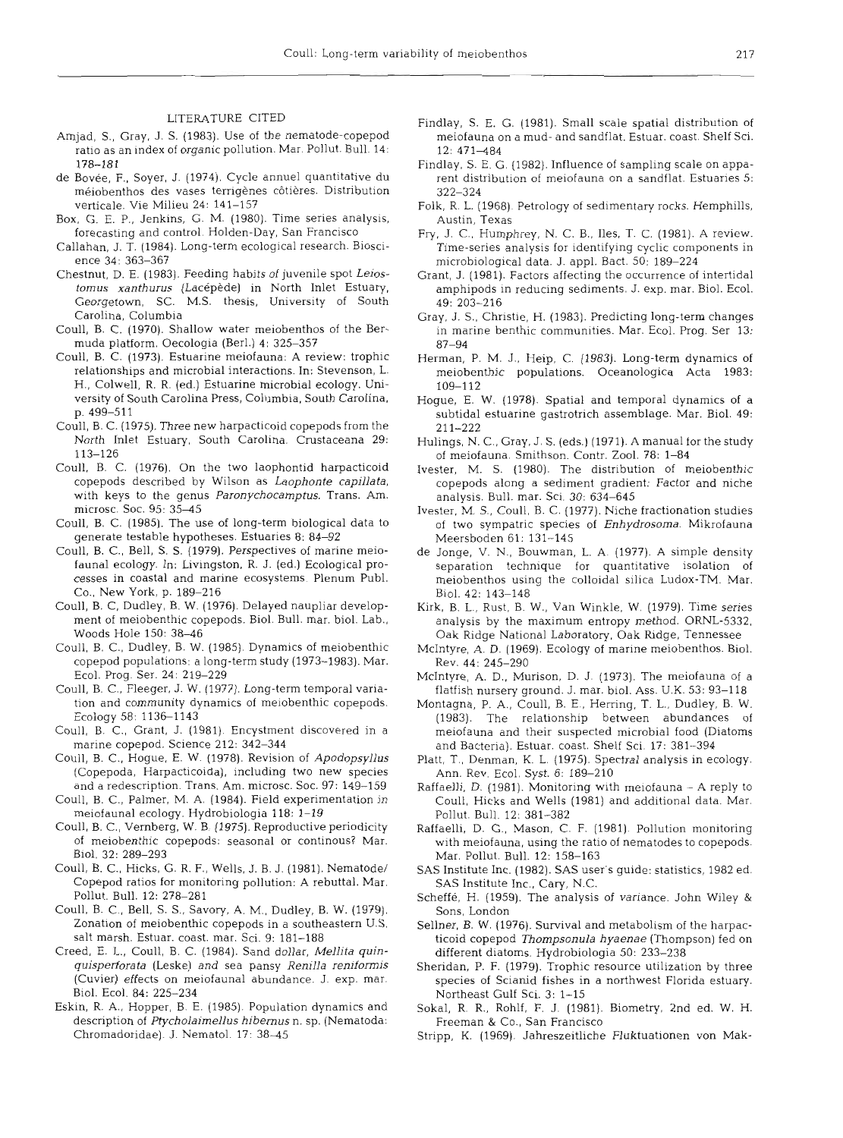#### LITERATURE CITED

- Amjad, S., Gray, J. S. (1983). Use of the nematode-copepod ratio as an index of organic pollution. Mar. Pollut. Bull. 14: 178-181
- de Bovée, F., Soyer, J. (1974). Cycle annuel quantitative du méiobenthos des vases terrigènes côtières. Distribution verticale. Vie Milieu 24: 141-157
- Box, G. E. P., Jenkins, G. M. (1980). Time series analysis forecasting and control. Holden-Day. San Francisco
- Callahan, J. T. (1984). Long-term ecological research. Bioscience 34: 363-367
- Chestnut, D. E. (1983). Feeding habits of juvenile spot *Leios*tomus xanthurus (Lacépède) in North Inlet Estuary, Georgetown, SC. M.S. thesis, University of South Carolina, Columbia
- Coull, B. C. (1970). Shallow water meiobenthos of the Bermuda platform. Oecologia (Berl.) 4: 325-357
- Coull. B. C. (1973). Estuarine meiofauna: A review: trophic relationships and microbial interactions. In: Stevenson, L. H., Colwell, R. R. (ed.) Estuarine microbial ecology. University of South Carolina Press, Columbia, South Carolina, p. 499-511
- Coull, B. C. (1975). Three new harpacticoid copepods from the North Inlet Estuary, South Carolina. Crustaceana 29: 113-126
- Coull. B. C. (1976). On the two laophontid harpacticoid copepods described by Wilson as *Laophonte capillata.*  with keys to the genus *Paronychocamptus.* Trans. Am. microsc. Soc. 95: 35-45
- Coull, B. C. (1985). The use of long-term biological data to generate testable hypotheses. Estuaries 8: 84-92
- Coull, B. C., Bell, S. S. (1979). Perspectives of marine meiofauna1 ecology. In: Livingston, R. J. (ed.) Ecological processes in coastal and marine ecosystems. Plenum Publ. Co., New York, p. 189-216
- Coull, B. *C,* Dudley, B. W. (1976). Delayed naupliar development of meiobenthic copepods. Biol. Bull. mar, biol. Lab., Woods Hole 150: 38-46
- Coull, B. C., Dudley, B. W. (1985). Dynamics of meiobenthi copepod populations: a long-term study (1973-1983). Mar. Ecol. Prog. Ser. 24: 219-229
- Coull, B. C., Fleeger, J. W. (1977). Long-term temporal variation and community dynamics of meiobenthic copepods. Ecology 58: 1136-1143
- Coull, B. C., Grant, J. (1981). Encystment discovered in a marine copepod. Science 212: 342-344
- Coull, B. C., Hogue, E. W. (1978). Revision of *Apodopsyllus*  (Copepoda, Harpacticoida), including two new species and a redescription. Trans. Am. microsc. Soc. 97: 149-159
- Coull, B. C., Palmer, M. A. (1984). Field experimentation in meiofaunal ecology. Hydrobiologia 118: 1-19
- Coull, B. C., Vemberg, W. B, (1975). Reproductive periodicity of meiobenthic copepods: seasonal or continous? Mar. Biol. 32: 289–29
- Coull, B. C., Hicks, G. R. F., Wells, J. B. J. (1981). Nematode/ Copepod ratios for monitoring pollution: A rebuttal. Mar. Pollut. Bull. 12: 278-281
- Coull, B. C., Bell, S. S., Savory, A. M,, Dudley, B. W. (1979). Zonation of meiobenthic copepods in a southeastern U.S. salt marsh. Estuar. coast. mar. Sci. 9: 181-188
- Creed, E. L., Coull, B. C. (1984). Sand dollar, *Mellita quinquisperforata* (Leske) and sea pansy *Renilla renifomis*  (Cuvier) effects on meiofaunal abundance. J. exp, mar. Biol. Ecol. 84: 225-234
- Eskin, R. A., Hopper, B. E. (1985). Population dynamics and description of *Ptycholaimellus hibemus* n. sp. (Nematoda: Chromadoridae). J. Nematol. 17: 38-45
- Findlay, S. E. G. (1981). Small scale spatial distribution of meiofauna on a mud- and sandflat. Estuar. coast. Shelf Sci. 12: 471-484
- Findlay, S. E. G. (1982). Influence of sampling scale on apparent distribution of meiofauna on a sandflat. Estuaries 5: 322-324
- Folk, R. L. (1968). Petrology of sedimentary rocks. Hemphills, Austin, Texas
- Fry, J. C., Humphrey, N. C. B., Iles, T. C. (1981). A review. Time-series analysis for identifying cyclic components in microbiological data. J. appl. Bact. 50: 189-224
- Grant. J. (1981). Factors affecting the occurrence of intertidal amphipods in reducing sediments. J. exp. mar. Biol. Ecol. 49: 203-216
- Gray, J. S., Christie, H. (1983). Predicting long-term changes in marine benthic communities. Mar. Ecol. Prog. Ser 13: 87-94
- Herman, P. M. J.. Heip, C. (1983). Long-term dynamics of meiobenthic populations. Oceanologica Acta 1983: 109-112
- Hogue, E. W. (1978). Spatial and temporal dynamics of a subtidal estuarine gastrotrich assemblage. Mar. Biol. 49: 211-222
- Hulings, N. C., Gray, J. S. (eds.) (1971). A manual for the study of meiofauna. Smithson. Contr. Zool. 78: 1-84
- Ivester, M. S. (1980). The distribution of meiobenthi copepods along a sediment gradient: Factor and niche analysis. Bull. mar. Sci. 30: 634-645
- Ivester, M. S., Coull, B. C. (1977). Niche fractionation studies of two sympatric species of *Enhydrosoma.* Mikrofauna Meersboden 61: 131-145
- de Jonge, V. N., Bouwman, L. A. (1977). A simple density separation technique for quantitative isolation of meiobenthos using the colloidal silica Ludox-TM. Mar. Biol. 42: 143-148
- Kirk, B. L., Rust, B. W., Van Winkle, W. (1979). Time series analysis by the maximum entropy method. ORNL-5332, Oak Ridge National Laboratory, Oak kdge, Tennessee
- McIntyre, A. D. (1969). Ecology of marine meiobenthos. Biol. Rev. 44: 245-290
- McIntyre, A. D., Murison, D. J. (1973). The meiofauna of a flatfish nursery ground. J. mar. biol. Ass. U.K. 53: 93-118
- Montagna, P. A., Coull, B. E., Herring, T. L., Dudley, B. W. (1983). The relationship between abundances of meiofauna and their suspected microbial food (Diatoms and Bacteria). Estuar. coast. Shelf Sci. 17: 381-394
- Platt, T., Denman, K. L. (1975). Spectral analysis in ecology. Ann. Rev. Ecol. Syst. 6: 189-210
- Raffaelli. D. (1981). Monitoring with meiofauna **A** reply to Coull, Hicks and Wells (1981) and additional data. Mar. Pollut. Bull. 12: 381-382
- Raffaelli, D. G., Mason, C. F. (1981). Pollution monitoring with meiofauna, using the ratio of nematodes to copepods. Mar. Pollut. Bull. 12: 158-163
- SAS Institute Inc. (1982). SAS user's guide: statistics, 1982 ed. SAS Institute Inc., Cary, N.C.
- Scheffe. H. (1959). The analysis of variance. John Wiley & Sons. London
- Sellner, B. W. (1976). Survival and metabolism of the harpacticoid copepod *Thompsonula hyaenae* (Thompson) fed on different diatoms. Hydrobiologia 50: 233-238
- Sheridan, P. F. (1979). Trophic resource utilization by three species of Scianid fishes in a northwest Florida estuary. Northeast Gulf Sci. 3: 1-15
- Sokal, R. R., Rohlf, F. J. (1981). Biometry, 2nd ed. W. H. Freeman & Co., San Francisco
- Stripp, K. (1969). Jahreszeitliche Fluktuationen von Mak-